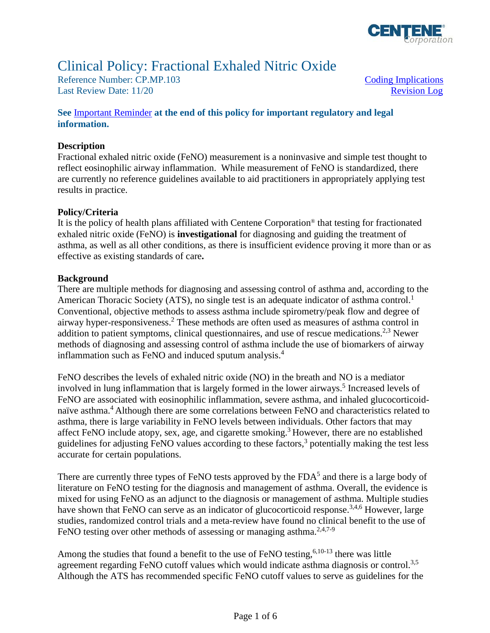

# Clinical Policy: Fractional Exhaled Nitric Oxide

Reference Number: CP.MP.103 Coding Implications Last Review Date: 11/20 Revision Log

# **See** [Important Reminder](#page-3-0) **at the end of this policy for important regulatory and legal information.**

### **Description**

 reflect eosinophilic airway inflammation. While measurement of FeNO is standardized, there Fractional exhaled nitric oxide (FeNO) measurement is a noninvasive and simple test thought to are currently no reference guidelines available to aid practitioners in appropriately applying test results in practice.

### **Policy/Criteria**

It is the policy of health plans affiliated with Centene Corporation® that testing for fractionated exhaled nitric oxide (FeNO) is **investigational** for diagnosing and guiding the treatment of asthma, as well as all other conditions, as there is insufficient evidence proving it more than or as effective as existing standards of care**.** 

### **Background**

There are multiple methods for diagnosing and assessing control of asthma and, according to the American Thoracic Society (ATS), no single test is an adequate indicator of asthma control.<sup>1</sup> Conventional, objective methods to assess asthma include spirometry/peak flow and degree of airway hyper-responsiveness.2 These methods are often used as measures of asthma control in addition to patient symptoms, clinical questionnaires, and use of rescue medications.<sup>2,3</sup> Newer methods of diagnosing and assessing control of asthma include the use of biomarkers of airway inflammation such as FeNO and induced sputum analysis. 4

FeNO describes the levels of exhaled nitric oxide (NO) in the breath and NO is a mediator involved in lung inflammation that is largely formed in the lower airways. 5 Increased levels of FeNO are associated with eosinophilic inflammation, severe asthma, and inhaled glucocorticoidnaïve asthma.<sup>4</sup> Although there are some correlations between FeNO and characteristics related to asthma, there is large variability in FeNO levels between individuals. Other factors that may affect FeNO include atopy, sex, age, and cigarette smoking.<sup>3</sup> However, there are no established guidelines for adjusting FeNO values according to these factors, 3 potentially making the test less accurate for certain populations.

There are currently three types of FeNO tests approved by the  $FDA<sup>5</sup>$  and there is a large body of literature on FeNO testing for the diagnosis and management of asthma. Overall, the evidence is mixed for using FeNO as an adjunct to the diagnosis or management of asthma. Multiple studies have shown that FeNO can serve as an indicator of glucocorticoid response.<sup>3,4,6</sup> However, large studies, randomized control trials and a meta-review have found no clinical benefit to the use of FeNO testing over other methods of assessing or managing asthma.<sup>2,4,7-9</sup>

Among the studies that found a benefit to the use of FeNO testing,  $6,10-13$  there was little agreement regarding FeNO cutoff values which would indicate asthma diagnosis or control.<sup>3,5</sup> Although the ATS has recommended specific FeNO cutoff values to serve as guidelines for the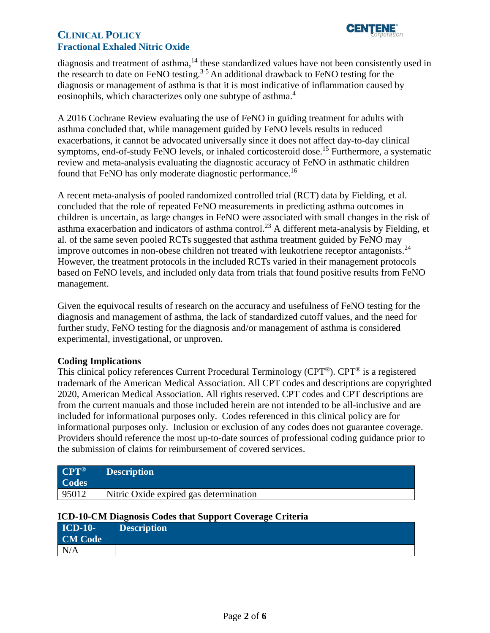

# **CLINICAL POLICY Fractional Exhaled Nitric Oxide**

diagnosis and treatment of asthma,<sup>14</sup> these standardized values have not been consistently used in the research to date on FeNO testing.3-5 An additional drawback to FeNO testing for the diagnosis or management of asthma is that it is most indicative of inflammation caused by eosinophils, which characterizes only one subtype of asthma.<sup>4</sup>

A 2016 Cochrane Review evaluating the use of FeNO in guiding treatment for adults with asthma concluded that, while management guided by FeNO levels results in reduced exacerbations, it cannot be advocated universally since it does not affect day-to-day clinical symptoms, end-of-study FeNO levels, or inhaled corticosteroid dose.<sup>15</sup> Furthermore, a systematic review and meta-analysis evaluating the diagnostic accuracy of FeNO in asthmatic children found that FeNO has only moderate diagnostic performance.16

A recent meta-analysis of pooled randomized controlled trial (RCT) data by Fielding, et al. concluded that the role of repeated FeNO measurements in predicting asthma outcomes in children is uncertain, as large changes in FeNO were associated with small changes in the risk of asthma exacerbation and indicators of asthma control.<sup>23</sup> A different meta-analysis by Fielding, et al. of the same seven pooled RCTs suggested that asthma treatment guided by FeNO may improve outcomes in non-obese children not treated with leukotriene receptor antagonists.24 However, the treatment protocols in the included RCTs varied in their management protocols based on FeNO levels, and included only data from trials that found positive results from FeNO management.

Given the equivocal results of research on the accuracy and usefulness of FeNO testing for the diagnosis and management of asthma, the lack of standardized cutoff values, and the need for further study, FeNO testing for the diagnosis and/or management of asthma is considered experimental, investigational, or unproven.

# <span id="page-1-0"></span>**Coding Implications**

This clinical policy references Current Procedural Terminology (CPT®). CPT® is a registered trademark of the American Medical Association. All CPT codes and descriptions are copyrighted 2020, American Medical Association. All rights reserved. CPT codes and CPT descriptions are from the current manuals and those included herein are not intended to be all-inclusive and are included for informational purposes only. Codes referenced in this clinical policy are for informational purposes only. Inclusion or exclusion of any codes does not guarantee coverage. Providers should reference the most up-to-date sources of professional coding guidance prior to the submission of claims for reimbursement of covered services.

| $CPT^{\circledR}$<br><b>Codes</b> | <b>Description</b>                     |
|-----------------------------------|----------------------------------------|
| 95012                             | Nitric Oxide expired gas determination |

| <b>ICD-10-CM Diagnosis Codes that Support Coverage Criteria</b> |                    |  |  |  |
|-----------------------------------------------------------------|--------------------|--|--|--|
| <b>ICD-10-</b>                                                  | <b>Description</b> |  |  |  |
| <b>CM Code</b>                                                  |                    |  |  |  |
| N/A                                                             |                    |  |  |  |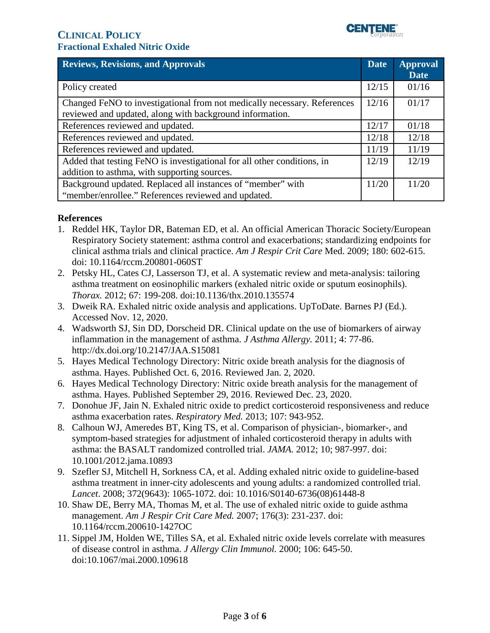

<span id="page-2-0"></span>

| <b>Reviews, Revisions, and Approvals</b>                                 | <b>Date</b> | <b>Approval</b> |
|--------------------------------------------------------------------------|-------------|-----------------|
|                                                                          |             | <b>Date</b>     |
| Policy created                                                           | 12/15       | 01/16           |
| Changed FeNO to investigational from not medically necessary. References |             | 01/17           |
| reviewed and updated, along with background information.                 |             |                 |
| References reviewed and updated.                                         |             | 01/18           |
| References reviewed and updated.                                         |             | 12/18           |
| References reviewed and updated.                                         |             | 11/19           |
| Added that testing FeNO is investigational for all other conditions, in  |             | 12/19           |
| addition to asthma, with supporting sources.                             |             |                 |
| Background updated. Replaced all instances of "member" with              |             | 11/20           |
| "member/enrollee." References reviewed and updated.                      |             |                 |

# **References**

- 1. Reddel HK, Taylor DR, Bateman ED, et al. An official American Thoracic Society/European Respiratory Society statement: asthma control and exacerbations; standardizing endpoints for clinical asthma trials and clinical practice. *Am J Respir Crit Care* Med. 2009; 180: 602-615. doi: 10.1164/rccm.200801-060ST
- 2. Petsky HL, Cates CJ, Lasserson TJ, et al. A systematic review and meta-analysis: tailoring asthma treatment on eosinophilic markers (exhaled nitric oxide or sputum eosinophils). *Thorax.* 2012; 67: 199-208. doi:10.1136/thx.2010.135574
- 3. Dweik RA. Exhaled nitric oxide analysis and applications. UpToDate. Barnes PJ (Ed.). Accessed Nov. 12, 2020.
- 4. Wadsworth SJ, Sin DD, Dorscheid DR. Clinical update on the use of biomarkers of airway inflammation in the management of asthma. *J Asthma Allergy.* 2011; 4: 77-86. http://dx.doi.org/10.2147/JAA.S15081
- 5. Hayes Medical Technology Directory: Nitric oxide breath analysis for the diagnosis of asthma. Hayes. Published Oct. 6, 2016. Reviewed Jan. 2, 2020.
- 6. Hayes Medical Technology Directory: Nitric oxide breath analysis for the management of asthma. Hayes. Published September 29, 2016. Reviewed Dec. 23, 2020.
- 7. Donohue JF, Jain N. Exhaled nitric oxide to predict corticosteroid responsiveness and reduce asthma exacerbation rates. *Respiratory Med.* 2013; 107: 943-952.
- 8. Calhoun WJ, Ameredes BT, King TS, et al. Comparison of physician-, biomarker-, and symptom-based strategies for adjustment of inhaled corticosteroid therapy in adults with asthma: the BASALT randomized controlled trial. *JAMA.* 2012; 10; 987-997. doi: 10.1001/2012.jama.10893
- 9. Szefler SJ, Mitchell H, Sorkness CA, et al. Adding exhaled nitric oxide to guideline-based asthma treatment in inner-city adolescents and young adults: a randomized controlled trial. *Lancet*. 2008; 372(9643): 1065-1072. doi: 10.1016/S0140-6736(08)61448-8
- 10. Shaw DE, Berry MA, Thomas M, et al. The use of exhaled nitric oxide to guide asthma management. *Am J Respir Crit Care Med.* 2007; 176(3): 231-237. doi: 10.1164/rccm.200610-1427OC
- 11. Sippel JM, Holden WE, Tilles SA, et al. Exhaled nitric oxide levels correlate with measures of disease control in asthma. *J Allergy Clin Immunol.* 2000; 106: 645-50. doi:10.1067/mai.2000.109618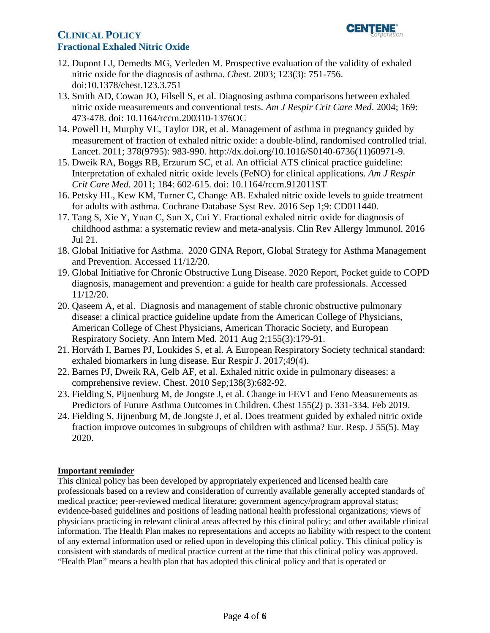# **CLINICAL POLICY** *l***<sub>corporation</sub> Fractional Exhaled Nitric Oxide**



- 12. Dupont LJ, Demedts MG, Verleden M. Prospective evaluation of the validity of exhaled nitric oxide for the diagnosis of asthma. *Chest.* 2003; 123(3): 751-756. doi:10.1378/chest.123.3.751
- 13. Smith AD, Cowan JO, Filsell S, et al. Diagnosing asthma comparisons between exhaled nitric oxide measurements and conventional tests. *Am J Respir Crit Care Med*. 2004; 169: 473-478. doi: 10.1164/rccm.200310-1376OC
- 14. Powell H, Murphy VE, Taylor DR, et al. Management of asthma in pregnancy guided by measurement of fraction of exhaled nitric oxide: a double-blind, randomised controlled trial. Lancet. 2011; 378(9795): 983-990. http://dx.doi.org/10.1016/S0140-6736(11)60971-9.
- 15. Dweik RA, Boggs RB, Erzurum SC, et al. An official ATS clinical practice guideline: Interpretation of exhaled nitric oxide levels (FeNO) for clinical applications. *Am J Respir Crit Care Med.* 2011; 184: 602-615. doi: 10.1164/rccm.912011ST
- 16. Petsky HL, Kew KM, Turner C, Change AB. Exhaled nitric oxide levels to guide treatment for adults with asthma. Cochrane Database Syst Rev. 2016 Sep 1;9: CD011440.
- 17. Tang S, Xie Y, Yuan C, Sun X, Cui Y. Fractional exhaled nitric oxide for diagnosis of childhood asthma: a systematic review and meta-analysis. Clin Rev Allergy Immunol. 2016 Jul 21.
- 18. Global Initiative for Asthma. 2020 GINA Report, Global Strategy for Asthma Management and Prevention. Accessed 11/12/20.
- 19. Global Initiative for Chronic Obstructive Lung Disease. 2020 Report, Pocket guide to COPD diagnosis, management and prevention: a guide for health care professionals. Accessed 11/12/20.
- 20. Qaseem A, et al. Diagnosis and management of stable chronic obstructive pulmonary disease: a clinical practice guideline update from the American College of Physicians, American College of Chest Physicians, American Thoracic Society, and European Respiratory Society. Ann Intern Med. 2011 Aug 2;155(3):179-91.
- 21. Horváth I, Barnes PJ, Loukides S, et al. A European Respiratory Society technical standard: exhaled biomarkers in lung disease. Eur Respir J. 2017;49(4).
- 22. Barnes PJ, Dweik RA, Gelb AF, et al. Exhaled nitric oxide in pulmonary diseases: a comprehensive review. Chest. 2010 Sep;138(3):682-92.
- 23. Fielding S, Pijnenburg M, de Jongste J, et al. Change in FEV1 and Feno Measurements as Predictors of Future Asthma Outcomes in Children. Chest 155(2) p. 331-334. Feb 2019.
- 24. Fielding S, Jijnenburg M, de Jongste J, et al. Does treatment guided by exhaled nitric oxide fraction improve outcomes in subgroups of children with asthma? Eur. Resp. J 55(5). May 2020.

# <span id="page-3-0"></span>**Important reminder**

 information. The Health Plan makes no representations and accepts no liability with respect to the content of any external information used or relied upon in developing this clinical policy. This clinical policy is "Health Plan" means a health plan that has adopted this clinical policy and that is operated or This clinical policy has been developed by appropriately experienced and licensed health care professionals based on a review and consideration of currently available generally accepted standards of medical practice; peer-reviewed medical literature; government agency/program approval status; evidence-based guidelines and positions of leading national health professional organizations; views of physicians practicing in relevant clinical areas affected by this clinical policy; and other available clinical consistent with standards of medical practice current at the time that this clinical policy was approved.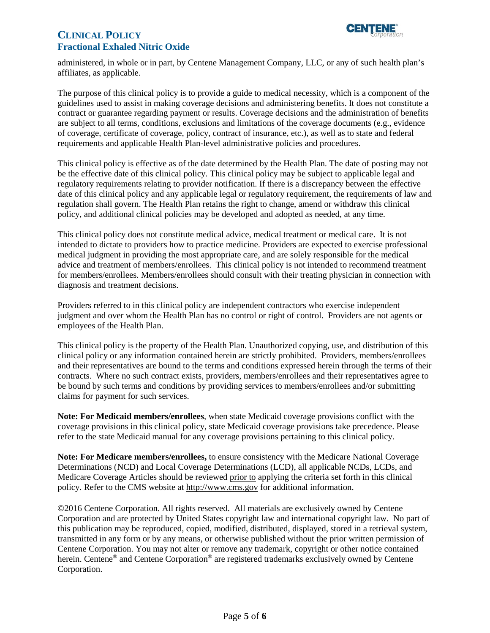# **CLINICAL POLICY** *l***<sub>corporation</sub> Fractional Exhaled Nitric Oxide**



 administered, in whole or in part, by Centene Management Company, LLC, or any of such health plan's affiliates, as applicable.

 The purpose of this clinical policy is to provide a guide to medical necessity, which is a component of the are subject to all terms, conditions, exclusions and limitations of the coverage documents (e.g., evidence requirements and applicable Health Plan-level administrative policies and procedures. guidelines used to assist in making coverage decisions and administering benefits. It does not constitute a contract or guarantee regarding payment or results. Coverage decisions and the administration of benefits of coverage, certificate of coverage, policy, contract of insurance, etc.), as well as to state and federal

 date of this clinical policy and any applicable legal or regulatory requirement, the requirements of law and regulation shall govern. The Health Plan retains the right to change, amend or withdraw this clinical This clinical policy is effective as of the date determined by the Health Plan. The date of posting may not be the effective date of this clinical policy. This clinical policy may be subject to applicable legal and regulatory requirements relating to provider notification. If there is a discrepancy between the effective policy, and additional clinical policies may be developed and adopted as needed, at any time.

 medical judgment in providing the most appropriate care, and are solely responsible for the medical advice and treatment of members/enrollees. This clinical policy is not intended to recommend treatment This clinical policy does not constitute medical advice, medical treatment or medical care. It is not intended to dictate to providers how to practice medicine. Providers are expected to exercise professional for members/enrollees. Members/enrollees should consult with their treating physician in connection with diagnosis and treatment decisions.

 Providers referred to in this clinical policy are independent contractors who exercise independent judgment and over whom the Health Plan has no control or right of control. Providers are not agents or employees of the Health Plan.

 This clinical policy is the property of the Health Plan. Unauthorized copying, use, and distribution of this claims for payment for such services. clinical policy or any information contained herein are strictly prohibited. Providers, members/enrollees and their representatives are bound to the terms and conditions expressed herein through the terms of their contracts. Where no such contract exists, providers, members/enrollees and their representatives agree to be bound by such terms and conditions by providing services to members/enrollees and/or submitting

 refer to the state Medicaid manual for any coverage provisions pertaining to this clinical policy. **Note: For Medicaid members/enrollees**, when state Medicaid coverage provisions conflict with the coverage provisions in this clinical policy, state Medicaid coverage provisions take precedence. Please

**Note: For Medicare members/enrollees,** to ensure consistency with the Medicare National Coverage Determinations (NCD) and Local Coverage Determinations (LCD), all applicable NCDs, LCDs, and Medicare Coverage Articles should be reviewed prior to applying the criteria set forth in this clinical policy. Refer to the CMS website a[t http://www.cms.gov](http://www.cms.gov/) for additional information.

©2016 Centene Corporation. All rights reserved. All materials are exclusively owned by Centene Corporation and are protected by United States copyright law and international copyright law. No part of this publication may be reproduced, copied, modified, distributed, displayed, stored in a retrieval system, transmitted in any form or by any means, or otherwise published without the prior written permission of Centene Corporation. You may not alter or remove any trademark, copyright or other notice contained herein. Centene<sup>®</sup> and Centene Corporation<sup>®</sup> are registered trademarks exclusively owned by Centene Corporation.